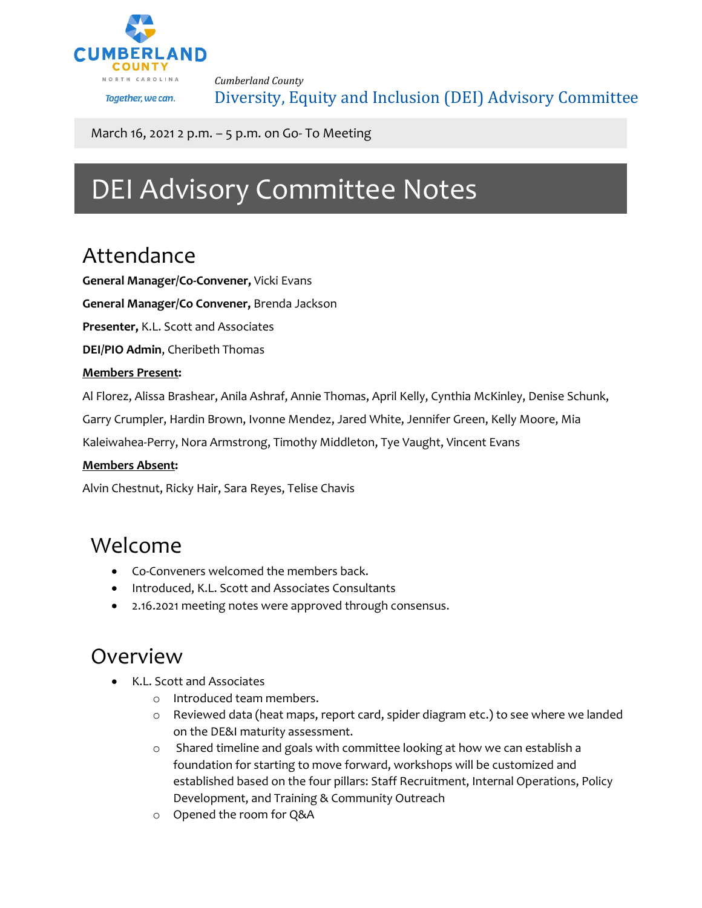

*Cumberland County* Diversity, Equity and Inclusion (DEI) Advisory Committee

March 16, 2021 2 p.m. – 5 p.m. on Go- To Meeting

# DEI Advisory Committee Notes

### Attendance

**General Manager/Co-Convener,** Vicki Evans

**General Manager/Co Convener,** Brenda Jackson

**Presenter,** K.L. Scott and Associates

**DEI/PIO Admin**, Cheribeth Thomas

#### **Members Present:**

Al Florez, Alissa Brashear, Anila Ashraf, Annie Thomas, April Kelly, Cynthia McKinley, Denise Schunk,

Garry Crumpler, Hardin Brown, Ivonne Mendez, Jared White, Jennifer Green, Kelly Moore, Mia

Kaleiwahea-Perry, Nora Armstrong, Timothy Middleton, Tye Vaught, Vincent Evans

#### **Members Absent:**

Alvin Chestnut, Ricky Hair, Sara Reyes, Telise Chavis

### Welcome

- Co-Conveners welcomed the members back.
- Introduced, K.L. Scott and Associates Consultants
- 2.16.2021 meeting notes were approved through consensus.

### Overview

- K.L. Scott and Associates
	- o Introduced team members.
	- o Reviewed data (heat maps, report card, spider diagram etc.) to see where we landed on the DE&I maturity assessment.
	- o Shared timeline and goals with committee looking at how we can establish a foundation for starting to move forward, workshops will be customized and established based on the four pillars: Staff Recruitment, Internal Operations, Policy Development, and Training & Community Outreach
	- o Opened the room for Q&A